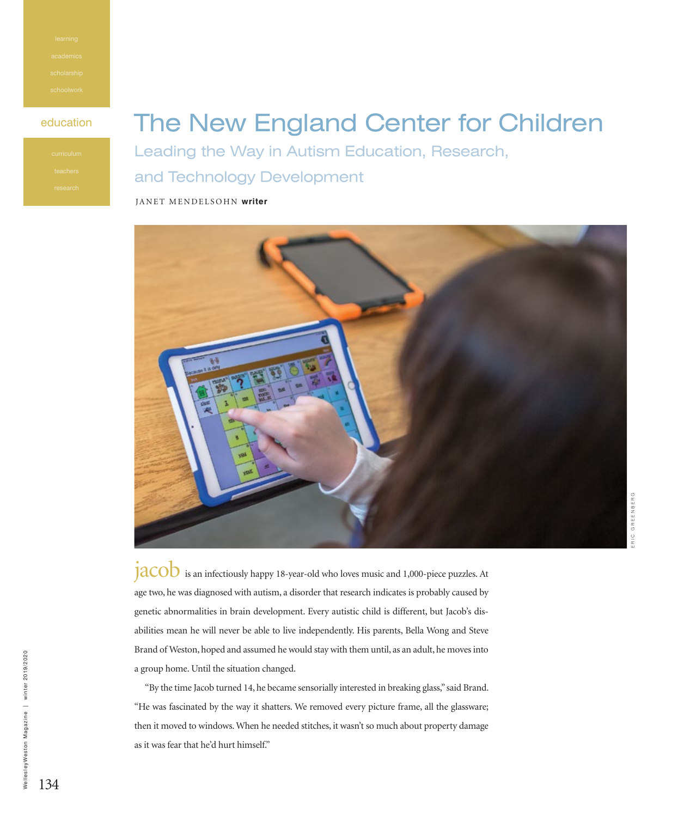# education The New England Center for Children

Leading the Way in Autism Education, Research, and Technology Development

JANET MENDELSOHN **writer**



 $JACOD$  is an infectiously happy 18-year-old who loves music and 1,000-piece puzzles. At age two, he was diagnosed with autism, a disorder that research indicates is probably caused by genetic abnormalities in brain development. Every autistic child is different, but Jacob's disabilities mean he will never be able to live independently. His parents, Bella Wong and Steve Brand of Weston, hoped and assumed he would stay with them until, as an adult, he moves into a group home. Until the situation changed.

"By the time Jacob turned 14, he became sensorially interested in breaking glass," said Brand. "He was fascinated by the way it shatters. We removed every picture frame, all the glassware; then it moved to windows. When he needed stitches, it wasn't so much about property damage as it was fear that he'd hurt himself."

WellesleyWeston Magazine

WellesleyWeston Magazine | winter 2019/2020

winter 2019/2020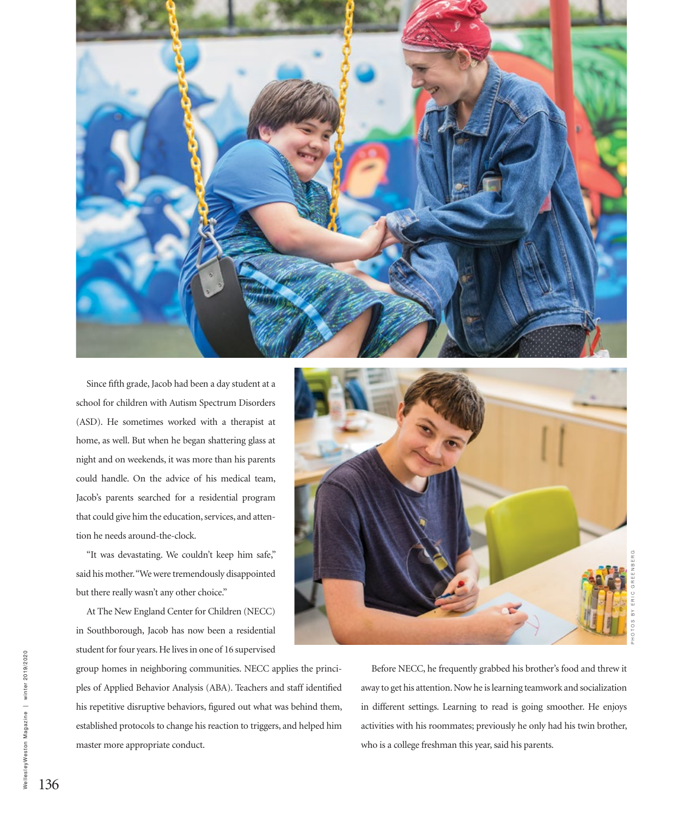

Since fifth grade, Jacob had been a day student at a school for children with Autism Spectrum Disorders (ASD). He sometimes worked with a therapist at home, as well. But when he began shattering glass at night and on weekends, it was more than his parents could handle. On the advice of his medical team, Jacob's parents searched for a residential program that could give him the education, services, and attention he needs around-the-clock.

"It was devastating. We couldn't keep him safe," said his mother. "We were tremendously disappointed but there really wasn't any other choice."

At The New England Center for Children (NECC) in Southborough, Jacob has now been a residential student for four years. He lives in one of 16 supervised

group homes in neighboring communities. NECC applies the principles of Applied Behavior Analysis (ABA). Teachers and staff identified his repetitive disruptive behaviors, figured out what was behind them, established protocols to change his reaction to triggers, and helped him master more appropriate conduct.



Before NECC, he frequently grabbed his brother's food and threw it away to get his attention. Now he is learning teamwork and socialization in different settings. Learning to read is going smoother. He enjoys activities with his roommates; previously he only had his twin brother, who is a college freshman this year, said his parents.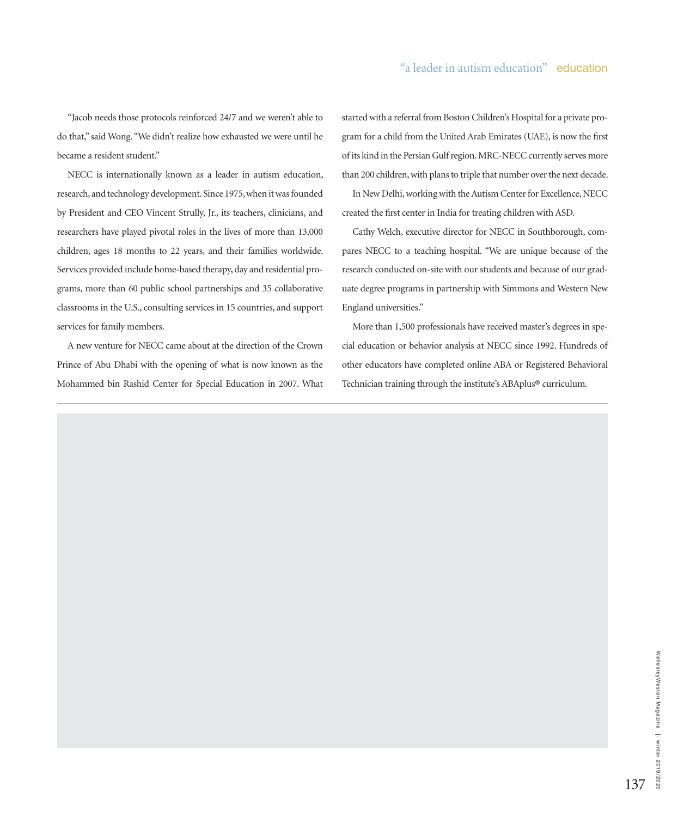"Jacob needs those protocols reinforced 24/7 and we weren't able to do that," said Wong. "We didn't realize how exhausted we were until he became a resident student."

NECC is internationally known as a leader in autism education, research, and technology development. Since 1975, when it was founded by President and CEO Vincent Strully, Jr., its teachers, clinicians, and researchers have played pivotal roles in the lives of more than 13,000 children, ages 18 months to 22 years, and their families worldwide. Services provided include home-based therapy, day and residential programs, more than 60 public school partnerships and 35 collaborative classrooms in the U.S., consulting services in 15 countries, and support services for family members.

A new venture for NECC came about at the direction of the Crown Prince of Abu Dhabi with the opening of what is now known as the Mohammed bin Rashid Center for Special Education in 2007. What started with a referral from Boston Children's Hospital for a private program for a child from the United Arab Emirates (UAE), is now the first of its kind in the Persian Gulf region. MRC-NECC currently serves more than 200 children, with plans to triple that number over the next decade.

In New Delhi, working with the Autism Center for Excellence, NECC created the first center in India for treating children with ASD.

Cathy Welch, executive director for NECC in Southborough, compares NECC to a teaching hospital. "We are unique because of the research conducted on-site with our students and because of our graduate degree programs in partnership with Simmons and Western New England universities."

More than 1,500 professionals have received master's degrees in special education or behavior analysis at NECC since 1992. Hundreds of other educators have completed online ABA or Registered Behavioral Technician training through the institute's ABAplus® curriculum.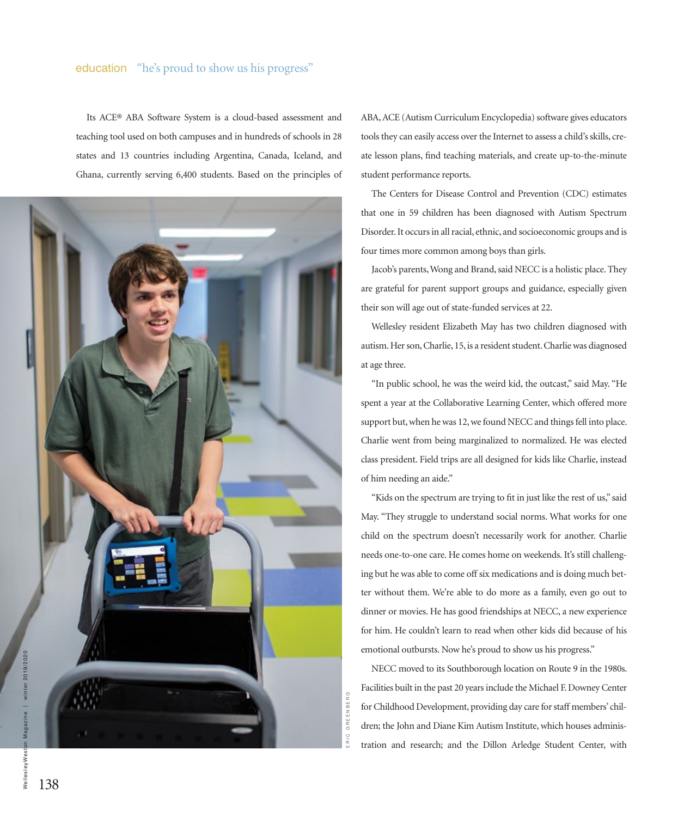## education "he's proud to show us his progress"

Its ACE® ABA Software System is a cloud-based assessment and teaching tool used on both campuses and in hundreds of schools in 28 states and 13 countries including Argentina, Canada, Iceland, and Ghana, currently serving 6,400 students. Based on the principles of



ABA, ACE (Autism Curriculum Encyclopedia) software gives educators tools they can easily access over the Internet to assess a child's skills, create lesson plans, find teaching materials, and create up-to-the-minute student performance reports.

The Centers for Disease Control and Prevention (CDC) estimates that one in 59 children has been diagnosed with Autism Spectrum Disorder. It occurs in all racial, ethnic, and socioeconomic groups and is four times more common among boys than girls.

Jacob's parents, Wong and Brand, said NECC is a holistic place. They are grateful for parent support groups and guidance, especially given their son will age out of state-funded services at 22.

Wellesley resident Elizabeth May has two children diagnosed with autism. Her son, Charlie, 15, is a resident student. Charlie was diagnosed at age three.

"In public school, he was the weird kid, the outcast," said May. "He spent a year at the Collaborative Learning Center, which offered more support but, when he was 12, we found NECC and things fell into place. Charlie went from being marginalized to normalized. He was elected class president. Field trips are all designed for kids like Charlie, instead of him needing an aide."

"Kids on the spectrum are trying to fit in just like the rest of us," said May. "They struggle to understand social norms. What works for one child on the spectrum doesn't necessarily work for another. Charlie needs one-to-one care. He comes home on weekends. It's still challenging but he was able to come off six medications and is doing much better without them. We're able to do more as a family, even go out to dinner or movies. He has good friendships at NECC, a new experience for him. He couldn't learn to read when other kids did because of his emotional outbursts. Now he's proud to show us his progress."

NECC moved to its Southborough location on Route 9 in the 1980s. Facilities built in the past 20 years include the Michael F. Downey Center for Childhood Development, providing day care for staff members' children; the John and Diane Kim Autism Institute, which houses administration and research; and the Dillon Arledge Student Center, with

ERIC GREENBERG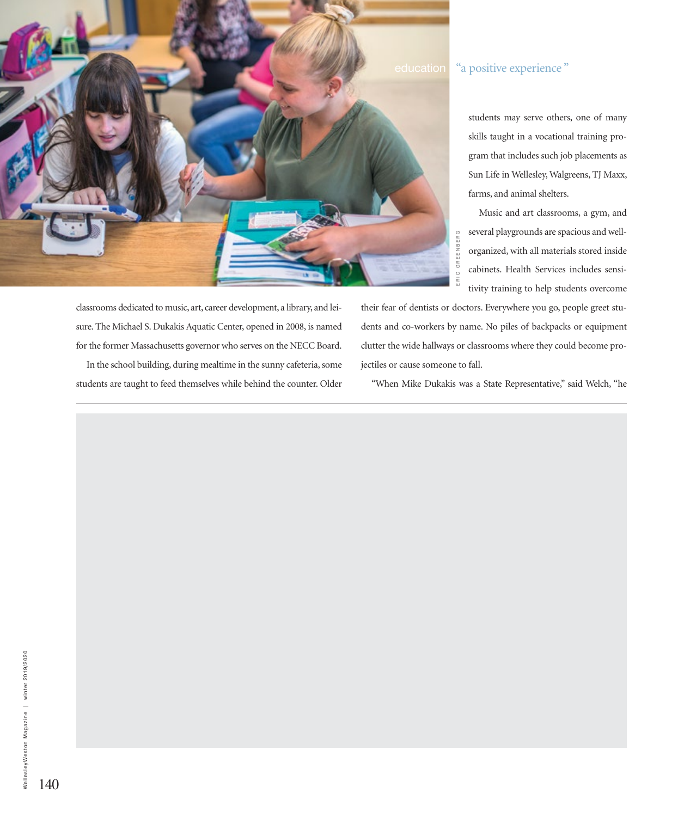

# education "a positive experience"

students may serve others, one of many skills taught in a vocational training program that includes such job placements as Sun Life in Wellesley, Walgreens, TJ Maxx, farms, and animal shelters.

Music and art classrooms, a gym, and several playgrounds are spacious and wellorganized, with all materials stored inside cabinets. Health Services includes sensitivity training to help students overcome

classrooms dedicated to music, art, career development, a library, and leisure. The Michael S. Dukakis Aquatic Center, opened in 2008, is named for the former Massachusetts governor who serves on the NECC Board. In the school building, during mealtime in the sunny cafeteria, some students are taught to feed themselves while behind the counter. Older their fear of dentists or doctors. Everywhere you go, people greet students and co-workers by name. No piles of backpacks or equipment clutter the wide hallways or classrooms where they could become projectiles or cause someone to fall. E several playgrounds are spacious and wen-<br>organized, with all materials stored inside<br>cabinets. Health Services includes sensi-<br>tivity training to help students overcome<br>eir fear of dentists or doctors. Everywhere you g